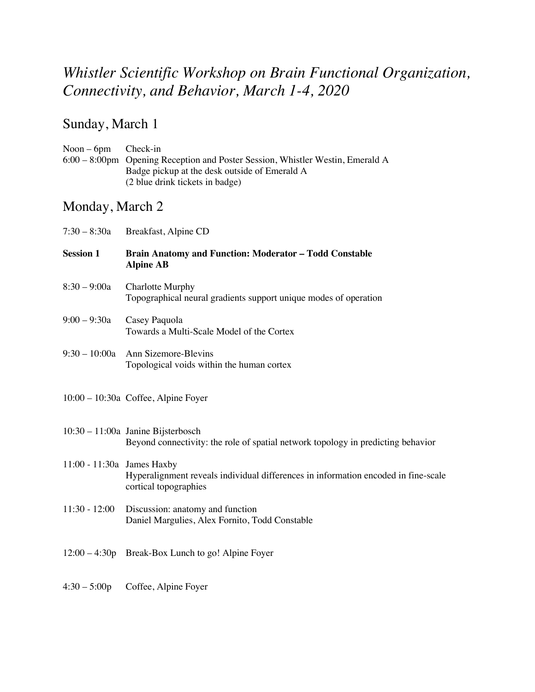## *Whistler Scientific Workshop on Brain Functional Organization, Connectivity, and Behavior, March 1-4, 2020*

### Sunday, March 1

| $Noon - 6pm$ Check-in |                                                                                |
|-----------------------|--------------------------------------------------------------------------------|
|                       | 6:00 – 8:00pm Opening Reception and Poster Session, Whistler Westin, Emerald A |
|                       | Badge pickup at the desk outside of Emerald A                                  |
|                       | (2 blue drink tickets in badge)                                                |

### Monday, March 2

| $7:30 - 8:30a$               | Breakfast, Alpine CD                                                                                                     |
|------------------------------|--------------------------------------------------------------------------------------------------------------------------|
| <b>Session 1</b>             | <b>Brain Anatomy and Function: Moderator - Todd Constable</b><br><b>Alpine AB</b>                                        |
| $8:30 - 9:00a$               | <b>Charlotte Murphy</b><br>Topographical neural gradients support unique modes of operation                              |
| $9:00 - 9:30a$               | Casey Paquola<br>Towards a Multi-Scale Model of the Cortex                                                               |
| $9:30 - 10:00a$              | Ann Sizemore-Blevins<br>Topological voids within the human cortex                                                        |
|                              | 10:00 - 10:30a Coffee, Alpine Foyer                                                                                      |
|                              | $10:30 - 11:00a$ Janine Bijsterbosch<br>Beyond connectivity: the role of spatial network topology in predicting behavior |
| $11:00 - 11:30a$ James Haxby | Hyperalignment reveals individual differences in information encoded in fine-scale<br>cortical topographies              |
| $11:30 - 12:00$              | Discussion: anatomy and function<br>Daniel Margulies, Alex Fornito, Todd Constable                                       |
|                              | 12:00 – 4:30p Break-Box Lunch to go! Alpine Foyer                                                                        |
| $4:30 - 5:00p$               | Coffee, Alpine Foyer                                                                                                     |
|                              |                                                                                                                          |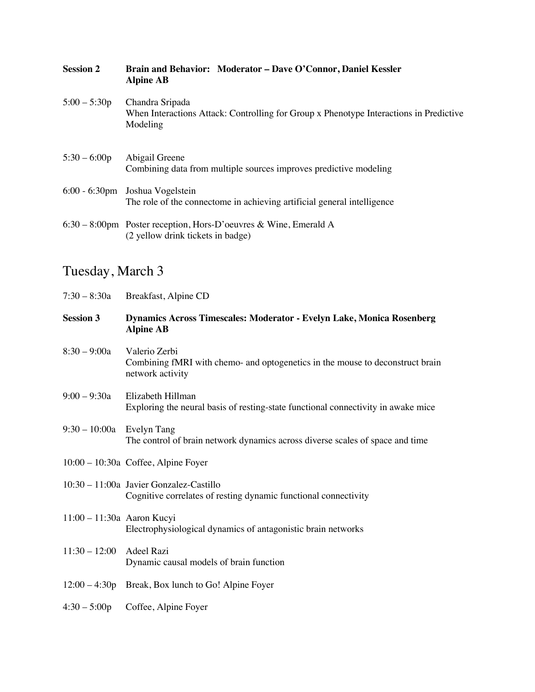| <b>Session 2</b> | Brain and Behavior: Moderator - Dave O'Connor, Daniel Kessler<br><b>Alpine AB</b>                                     |
|------------------|-----------------------------------------------------------------------------------------------------------------------|
| $5:00 - 5:30p$   | Chandra Sripada<br>When Interactions Attack: Controlling for Group x Phenotype Interactions in Predictive<br>Modeling |
| $5:30 - 6:00p$   | Abigail Greene<br>Combining data from multiple sources improves predictive modeling                                   |
|                  | 6:00 - 6:30pm Joshua Vogelstein<br>The role of the connectome in achieving artificial general intelligence            |
|                  | $6:30 - 8:00$ pm Poster reception, Hors-D'oeuvres & Wine, Emerald A<br>(2 yellow drink tickets in badge)              |

# Tuesday, March 3

| $7:30 - 8:30a$              | Breakfast, Alpine CD                                                                                               |
|-----------------------------|--------------------------------------------------------------------------------------------------------------------|
| <b>Session 3</b>            | Dynamics Across Timescales: Moderator - Evelyn Lake, Monica Rosenberg<br><b>Alpine AB</b>                          |
| $8:30 - 9:00a$              | Valerio Zerbi<br>Combining fMRI with chemo- and optogenetics in the mouse to deconstruct brain<br>network activity |
| $9:00 - 9:30a$              | Elizabeth Hillman<br>Exploring the neural basis of resting-state functional connectivity in awake mice             |
| $9:30 - 10:00a$ Evelyn Tang | The control of brain network dynamics across diverse scales of space and time                                      |
|                             | 10:00 - 10:30a Coffee, Alpine Foyer                                                                                |
|                             | 10:30 - 11:00a Javier Gonzalez-Castillo<br>Cognitive correlates of resting dynamic functional connectivity         |
| 11:00 - 11:30a Aaron Kucyi  | Electrophysiological dynamics of antagonistic brain networks                                                       |
| $11:30 - 12:00$             | Adeel Razi<br>Dynamic causal models of brain function                                                              |
|                             | 12:00 – 4:30p Break, Box lunch to Go! Alpine Foyer                                                                 |
| $4:30 - 5:00p$              | Coffee, Alpine Foyer                                                                                               |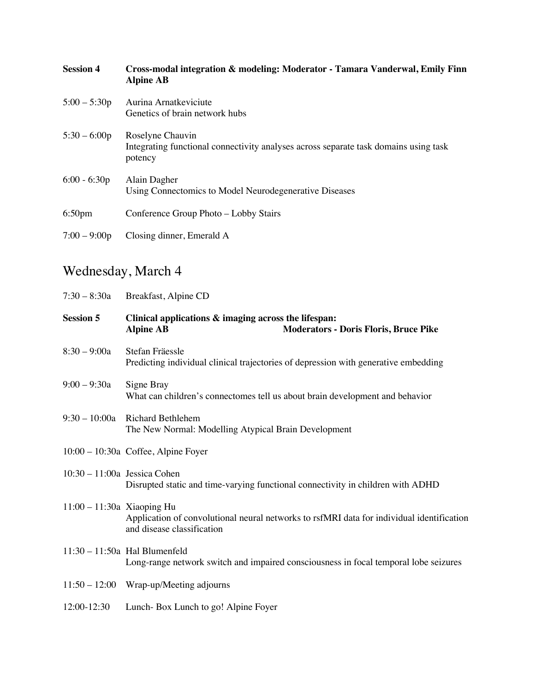| <b>Session 4</b>   | Cross-modal integration & modeling: Moderator - Tamara Vanderwal, Emily Finn<br><b>Alpine AB</b>                    |
|--------------------|---------------------------------------------------------------------------------------------------------------------|
| $5:00 - 5:30p$     | Aurina Arnatkeviciute<br>Genetics of brain network hubs                                                             |
| $5:30 - 6:00p$     | Roselyne Chauvin<br>Integrating functional connectivity analyses across separate task domains using task<br>potency |
| $6:00 - 6:30p$     | Alain Dagher<br>Using Connectomics to Model Neurodegenerative Diseases                                              |
| 6:50 <sub>pm</sub> | Conference Group Photo – Lobby Stairs                                                                               |
| $7:00 - 9:00p$     | Closing dinner, Emerald A                                                                                           |

## Wednesday, March 4

| $7:30 - 8:30a$                 | Breakfast, Alpine CD                                                                                                     |
|--------------------------------|--------------------------------------------------------------------------------------------------------------------------|
| <b>Session 5</b>               | Clinical applications & imaging across the lifespan:<br><b>Moderators - Doris Floris, Bruce Pike</b><br><b>Alpine AB</b> |
| $8:30 - 9:00a$                 | Stefan Fräessle<br>Predicting individual clinical trajectories of depression with generative embedding                   |
| $9:00 - 9:30a$                 | Signe Bray<br>What can children's connectomes tell us about brain development and behavior                               |
| $9:30 - 10:00a$                | <b>Richard Bethlehem</b><br>The New Normal: Modelling Atypical Brain Development                                         |
|                                | $10:00 - 10:30a$ Coffee, Alpine Foyer                                                                                    |
| $10:30 - 11:00a$ Jessica Cohen | Disrupted static and time-varying functional connectivity in children with ADHD                                          |
| $11:00 - 11:30a$ Xiaoping Hu   | Application of convolutional neural networks to rsfMRI data for individual identification<br>and disease classification  |
|                                | $11:30 - 11:50a$ Hal Blumenfeld<br>Long-range network switch and impaired consciousness in focal temporal lobe seizures  |
|                                | $11:50 - 12:00$ Wrap-up/Meeting adjourns                                                                                 |
| 12:00-12:30                    | Lunch-Box Lunch to go! Alpine Foyer                                                                                      |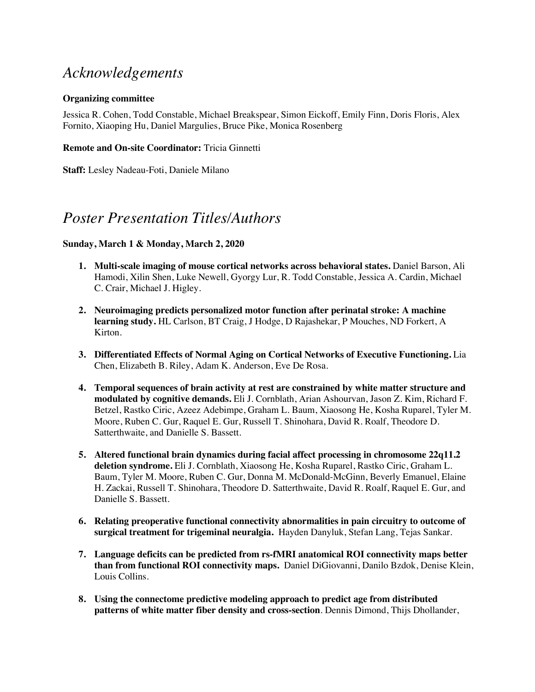### *Acknowledgements*

#### **Organizing committee**

Jessica R. Cohen, Todd Constable, Michael Breakspear, Simon Eickoff, Emily Finn, Doris Floris, Alex Fornito, Xiaoping Hu, Daniel Margulies, Bruce Pike, Monica Rosenberg

#### **Remote and On-site Coordinator:** Tricia Ginnetti

**Staff:** Lesley Nadeau-Foti, Daniele Milano

#### *Poster Presentation Titles/Authors*

#### **Sunday, March 1 & Monday, March 2, 2020**

- **1. Multi-scale imaging of mouse cortical networks across behavioral states.** Daniel Barson, Ali Hamodi, Xilin Shen, Luke Newell, Gyorgy Lur, R. Todd Constable, Jessica A. Cardin, Michael C. Crair, Michael J. Higley.
- **2. Neuroimaging predicts personalized motor function after perinatal stroke: A machine learning study.** HL Carlson, BT Craig, J Hodge, D Rajashekar, P Mouches, ND Forkert, A Kirton.
- **3. Differentiated Effects of Normal Aging on Cortical Networks of Executive Functioning.** Lia Chen, Elizabeth B. Riley, Adam K. Anderson, Eve De Rosa.
- **4. Temporal sequences of brain activity at rest are constrained by white matter structure and modulated by cognitive demands.** Eli J. Cornblath, Arian Ashourvan, Jason Z. Kim, Richard F. Betzel, Rastko Ciric, Azeez Adebimpe, Graham L. Baum, Xiaosong He, Kosha Ruparel, Tyler M. Moore, Ruben C. Gur, Raquel E. Gur, Russell T. Shinohara, David R. Roalf, Theodore D. Satterthwaite, and Danielle S. Bassett.
- **5. Altered functional brain dynamics during facial affect processing in chromosome 22q11.2 deletion syndrome.** Eli J. Cornblath, Xiaosong He, Kosha Ruparel, Rastko Ciric, Graham L. Baum, Tyler M. Moore, Ruben C. Gur, Donna M. McDonald-McGinn, Beverly Emanuel, Elaine H. Zackai, Russell T. Shinohara, Theodore D. Satterthwaite, David R. Roalf, Raquel E. Gur, and Danielle S. Bassett.
- **6. Relating preoperative functional connectivity abnormalities in pain circuitry to outcome of surgical treatment for trigeminal neuralgia.** Hayden Danyluk, Stefan Lang, Tejas Sankar.
- **7. Language deficits can be predicted from rs-fMRI anatomical ROI connectivity maps better than from functional ROI connectivity maps.** Daniel DiGiovanni, Danilo Bzdok, Denise Klein, Louis Collins.
- **8. Using the connectome predictive modeling approach to predict age from distributed patterns of white matter fiber density and cross-section**. Dennis Dimond, Thijs Dhollander,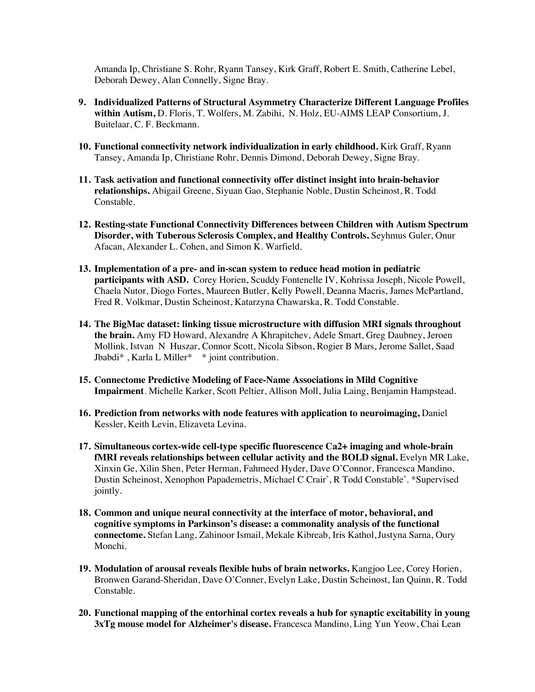Amanda Ip, Christiane S. Rohr, Ryann Tansey, Kirk Graff, Robert E. Smith, Catherine Lebel, Deborah Dewey, Alan Connelly, Signe Bray.

- **9. Individualized Patterns of Structural Asymmetry Characterize Different Language Profiles within Autism,** D. Floris, T. Wolfers, M. Zabihi, N. Holz, EU-AIMS LEAP Consortium, J. Buitelaar, C. F. Beckmann.
- **10. Functional connectivity network individualization in early childhood.** Kirk Graff, Ryann Tansey, Amanda Ip, Christiane Rohr, Dennis Dimond, Deborah Dewey, Signe Bray.
- **11. Task activation and functional connectivity offer distinct insight into brain-behavior relationships.** Abigail Greene, Siyuan Gao, Stephanie Noble, Dustin Scheinost, R. Todd Constable.
- **12. Resting-state Functional Connectivity Differences between Children with Autism Spectrum Disorder, with Tuberous Sclerosis Complex, and Healthy Controls.** Seyhmus Guler, Onur Afacan, Alexander L. Cohen, and Simon K. Warfield.
- **13. Implementation of a pre- and in-scan system to reduce head motion in pediatric participants with ASD.** Corey Horien, Scuddy Fontenelle IV, Kohrissa Joseph, Nicole Powell, Chaela Nutor, Diogo Fortes, Maureen Butler, Kelly Powell, Deanna Macris, James McPartland, Fred R. Volkmar, Dustin Scheinost, Katarzyna Chawarska, R. Todd Constable.
- **14. The BigMac dataset: linking tissue microstructure with diffusion MRI signals throughout the brain.** Amy FD Howard, Alexandre A Khrapitchev, Adele Smart, Greg Daubney, Jeroen Mollink, Istvan N Huszar, Connor Scott, Nicola Sibson, Rogier B Mars, Jerome Sallet, Saad Jbabdi\* , Karla L Miller\* \* joint contribution.
- **15. Connectome Predictive Modeling of Face-Name Associations in Mild Cognitive Impairment**. Michelle Karker, Scott Peltier, Allison Moll, Julia Laing, Benjamin Hampstead.
- **16. Prediction from networks with node features with application to neuroimaging,** Daniel Kessler, Keith Levin, Elizaveta Levina.
- **17. Simultaneous cortex-wide cell-type specific fluorescence Ca2+ imaging and whole-brain fMRI reveals relationships between cellular activity and the BOLD signal.** Evelyn MR Lake, Xinxin Ge, Xilin Shen, Peter Herman, Fahmeed Hyder, Dave O'Connor, Francesca Mandino, Dustin Scheinost, Xenophon Papademetris, Michael C Crair\* , R Todd Constable\* . \*Supervised jointly.
- **18. Common and unique neural connectivity at the interface of motor, behavioral, and cognitive symptoms in Parkinson's disease: a commonality analysis of the functional connectome.** Stefan Lang, Zahinoor Ismail, Mekale Kibreab, Iris Kathol,Justyna Sarna, Oury Monchi.
- **19. Modulation of arousal reveals flexible hubs of brain networks.** Kangjoo Lee, Corey Horien, Bronwen Garand-Sheridan, Dave O'Conner, Evelyn Lake, Dustin Scheinost, Ian Quinn, R. Todd Constable.
- **20. Functional mapping of the entorhinal cortex reveals a hub for synaptic excitability in young 3xTg mouse model for Alzheimer's disease.** Francesca Mandino, Ling Yun Yeow, Chai Lean